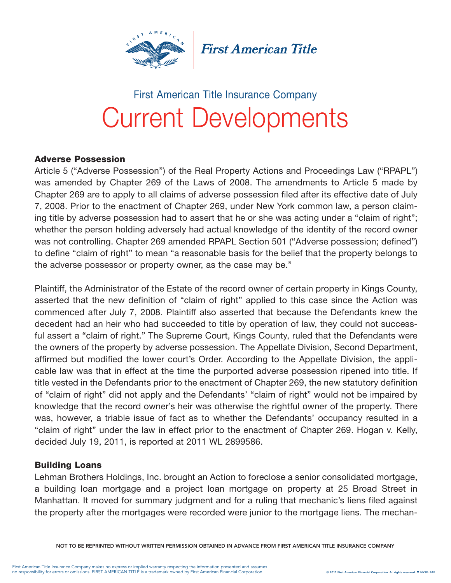

**First American Title** 

# Current Developments First American Title Insurance Company

#### Adverse Possession

Article 5 ("Adverse Possession") of the Real Property Actions and Proceedings Law ("RPAPL") was amended by Chapter 269 of the Laws of 2008. The amendments to Article 5 made by Chapter 269 are to apply to all claims of adverse possession filed after its effective date of July 7, 2008. Prior to the enactment of Chapter 269, under New York common law, a person claiming title by adverse possession had to assert that he or she was acting under a "claim of right"; whether the person holding adversely had actual knowledge of the identity of the record owner was not controlling. Chapter 269 amended RPAPL Section 501 ("Adverse possession; defined") to define "claim of right" to mean "a reasonable basis for the belief that the property belongs to the adverse possessor or property owner, as the case may be."

Plaintiff, the Administrator of the Estate of the record owner of certain property in Kings County, asserted that the new definition of "claim of right" applied to this case since the Action was commenced after July 7, 2008. Plaintiff also asserted that because the Defendants knew the decedent had an heir who had succeeded to title by operation of law, they could not successful assert a "claim of right." The Supreme Court, Kings County, ruled that the Defendants were the owners of the property by adverse possession. The Appellate Division, Second Department, affirmed but modified the lower court's Order. According to the Appellate Division, the applicable law was that in effect at the time the purported adverse possession ripened into title. If title vested in the Defendants prior to the enactment of Chapter 269, the new statutory definition of "claim of right" did not apply and the Defendants' "claim of right" would not be impaired by knowledge that the record owner's heir was otherwise the rightful owner of the property. There was, however, a triable issue of fact as to whether the Defendants' occupancy resulted in a "claim of right" under the law in effect prior to the enactment of Chapter 269. Hogan v. Kelly, decided July 19, 2011, is reported at 2011 WL 2899586.

#### Building Loans

Lehman Brothers Holdings, Inc. brought an Action to foreclose a senior consolidated mortgage, a building loan mortgage and a project loan mortgage on property at 25 Broad Street in Manhattan. It moved for summary judgment and for a ruling that mechanic's liens filed against the property after the mortgages were recorded were junior to the mortgage liens. The mechan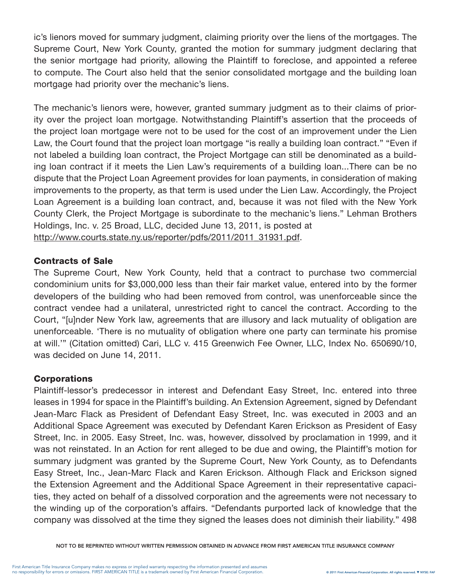ic's lienors moved for summary judgment, claiming priority over the liens of the mortgages. The Supreme Court, New York County, granted the motion for summary judgment declaring that the senior mortgage had priority, allowing the Plaintiff to foreclose, and appointed a referee to compute. The Court also held that the senior consolidated mortgage and the building loan mortgage had priority over the mechanic's liens.

The mechanic's lienors were, however, granted summary judgment as to their claims of priority over the project loan mortgage. Notwithstanding Plaintiff's assertion that the proceeds of the project loan mortgage were not to be used for the cost of an improvement under the Lien Law, the Court found that the project loan mortgage "is really a building loan contract." "Even if not labeled a building loan contract, the Project Mortgage can still be denominated as a building loan contract if it meets the Lien Law's requirements of a building loan...There can be no dispute that the Project Loan Agreement provides for loan payments, in consideration of making improvements to the property, as that term is used under the Lien Law. Accordingly, the Project Loan Agreement is a building loan contract, and, because it was not filed with the New York County Clerk, the Project Mortgage is subordinate to the mechanic's liens." Lehman Brothers Holdings, Inc. v. 25 Broad, LLC, decided June 13, 2011, is posted at http://www.courts.state.ny.us/reporter/pdfs/2011/2011\_31931.pdf.

# Contracts of Sale

The Supreme Court, New York County, held that a contract to purchase two commercial condominium units for \$3,000,000 less than their fair market value, entered into by the former developers of the building who had been removed from control, was unenforceable since the contract vendee had a unilateral, unrestricted right to cancel the contract. According to the Court, "[u]nder New York law, agreements that are illusory and lack mutuality of obligation are unenforceable. 'There is no mutuality of obligation where one party can terminate his promise at will.'" (Citation omitted) Cari, LLC v. 415 Greenwich Fee Owner, LLC, Index No. 650690/10, was decided on June 14, 2011.

# **Corporations**

Plaintiff-lessor's predecessor in interest and Defendant Easy Street, Inc. entered into three leases in 1994 for space in the Plaintiff's building. An Extension Agreement, signed by Defendant Jean-Marc Flack as President of Defendant Easy Street, Inc. was executed in 2003 and an Additional Space Agreement was executed by Defendant Karen Erickson as President of Easy Street, Inc. in 2005. Easy Street, Inc. was, however, dissolved by proclamation in 1999, and it was not reinstated. In an Action for rent alleged to be due and owing, the Plaintiff's motion for summary judgment was granted by the Supreme Court, New York County, as to Defendants Easy Street, Inc., Jean-Marc Flack and Karen Erickson. Although Flack and Erickson signed the Extension Agreement and the Additional Space Agreement in their representative capacities, they acted on behalf of a dissolved corporation and the agreements were not necessary to the winding up of the corporation's affairs. "Defendants purported lack of knowledge that the company was dissolved at the time they signed the leases does not diminish their liability." 498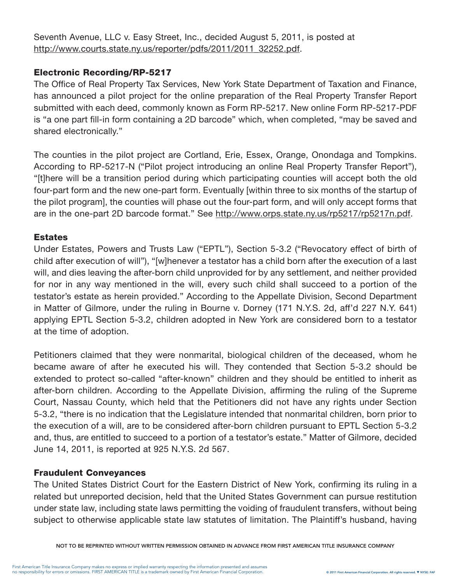Seventh Avenue, LLC v. Easy Street, Inc., decided August 5, 2011, is posted at http://www.courts.state.ny.us/reporter/pdfs/2011/2011\_32252.pdf.

# Electronic Recording/RP-5217

The Office of Real Property Tax Services, New York State Department of Taxation and Finance, has announced a pilot project for the online preparation of the Real Property Transfer Report submitted with each deed, commonly known as Form RP-5217. New online Form RP-5217-PDF is "a one part fill-in form containing a 2D barcode" which, when completed, "may be saved and shared electronically."

The counties in the pilot project are Cortland, Erie, Essex, Orange, Onondaga and Tompkins. According to RP-5217-N ("Pilot project introducing an online Real Property Transfer Report"), "[t]here will be a transition period during which participating counties will accept both the old four-part form and the new one-part form. Eventually [within three to six months of the startup of the pilot program], the counties will phase out the four-part form, and will only accept forms that are in the one-part 2D barcode format." See http://www.orps.state.ny.us/rp5217/rp5217n.pdf.

# **Estates**

Under Estates, Powers and Trusts Law ("EPTL"), Section 5-3.2 ("Revocatory effect of birth of child after execution of will"), "[w]henever a testator has a child born after the execution of a last will, and dies leaving the after-born child unprovided for by any settlement, and neither provided for nor in any way mentioned in the will, every such child shall succeed to a portion of the testator's estate as herein provided." According to the Appellate Division, Second Department in Matter of Gilmore, under the ruling in Bourne v. Dorney (171 N.Y.S. 2d, aff'd 227 N.Y. 641) applying EPTL Section 5-3.2, children adopted in New York are considered born to a testator at the time of adoption.

Petitioners claimed that they were nonmarital, biological children of the deceased, whom he became aware of after he executed his will. They contended that Section 5-3.2 should be extended to protect so-called "after-known" children and they should be entitled to inherit as after-born children. According to the Appellate Division, affirming the ruling of the Supreme Court, Nassau County, which held that the Petitioners did not have any rights under Section 5-3.2, "there is no indication that the Legislature intended that nonmarital children, born prior to the execution of a will, are to be considered after-born children pursuant to EPTL Section 5-3.2 and, thus, are entitled to succeed to a portion of a testator's estate." Matter of Gilmore, decided June 14, 2011, is reported at 925 N.Y.S. 2d 567.

# Fraudulent Conveyances

The United States District Court for the Eastern District of New York, confirming its ruling in a related but unreported decision, held that the United States Government can pursue restitution under state law, including state laws permitting the voiding of fraudulent transfers, without being subject to otherwise applicable state law statutes of limitation. The Plaintiff's husband, having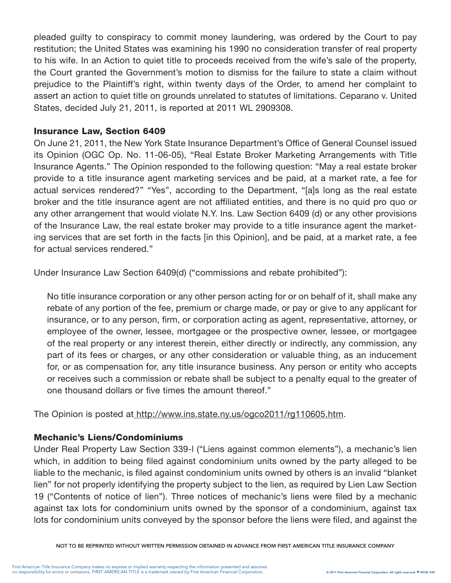pleaded guilty to conspiracy to commit money laundering, was ordered by the Court to pay restitution; the United States was examining his 1990 no consideration transfer of real property to his wife. In an Action to quiet title to proceeds received from the wife's sale of the property, the Court granted the Government's motion to dismiss for the failure to state a claim without prejudice to the Plaintiff's right, within twenty days of the Order, to amend her complaint to assert an action to quiet title on grounds unrelated to statutes of limitations. Ceparano v. United States, decided July 21, 2011, is reported at 2011 WL 2909308.

#### Insurance Law, Section 6409

On June 21, 2011, the New York State Insurance Department's Office of General Counsel issued its Opinion (OGC Op. No. 11-06-05), "Real Estate Broker Marketing Arrangements with Title Insurance Agents." The Opinion responded to the following question: "May a real estate broker provide to a title insurance agent marketing services and be paid, at a market rate, a fee for actual services rendered?" "Yes", according to the Department, "[a]s long as the real estate broker and the title insurance agent are not affiliated entities, and there is no quid pro quo or any other arrangement that would violate N.Y. Ins. Law Section 6409 (d) or any other provisions of the Insurance Law, the real estate broker may provide to a title insurance agent the marketing services that are set forth in the facts [in this Opinion], and be paid, at a market rate, a fee for actual services rendered."

Under Insurance Law Section 6409(d) ("commissions and rebate prohibited"):

No title insurance corporation or any other person acting for or on behalf of it, shall make any rebate of any portion of the fee, premium or charge made, or pay or give to any applicant for insurance, or to any person, firm, or corporation acting as agent, representative, attorney, or employee of the owner, lessee, mortgagee or the prospective owner, lessee, or mortgagee of the real property or any interest therein, either directly or indirectly, any commission, any part of its fees or charges, or any other consideration or valuable thing, as an inducement for, or as compensation for, any title insurance business. Any person or entity who accepts or receives such a commission or rebate shall be subject to a penalty equal to the greater of one thousand dollars or five times the amount thereof."

The Opinion is posted at http://www.ins.state.ny.us/ogco2011/rg110605.htm.

#### Mechanic's Liens/Condominiums

Under Real Property Law Section 339-l ("Liens against common elements"), a mechanic's lien which, in addition to being filed against condominium units owned by the party alleged to be liable to the mechanic, is filed against condominium units owned by others is an invalid "blanket lien" for not properly identifying the property subject to the lien, as required by Lien Law Section 19 ("Contents of notice of lien"). Three notices of mechanic's liens were filed by a mechanic against tax lots for condominium units owned by the sponsor of a condominium, against tax lots for condominium units conveyed by the sponsor before the liens were filed, and against the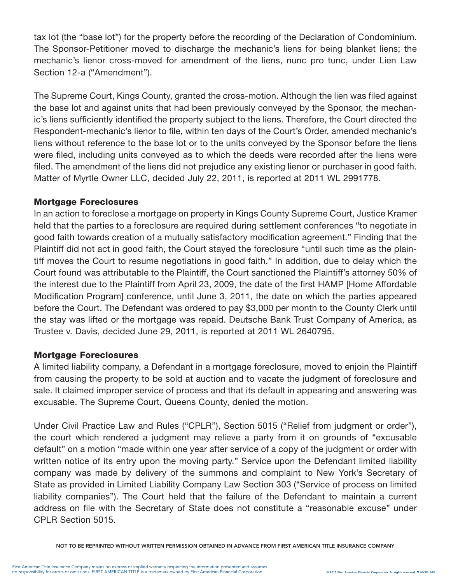tax lot (the "base lot") for the property before the recording of the Declaration of Condominium. The Sponsor-Petitioner moved to discharge the mechanic's liens for being blanket liens; the mechanic's lienor cross-moved for amendment of the liens, nunc pro tunc, under Lien Law Section 12-a ("Amendment").

The Supreme Court, Kings County, granted the cross-motion. Although the lien was filed against the base lot and against units that had been previously conveyed by the Sponsor, the mechanic's liens sufficiently identified the property subject to the liens. Therefore, the Court directed the Respondent-mechanic's lienor to file, within ten days of the Court's Order, amended mechanic's liens without reference to the base lot or to the units conveyed by the Sponsor before the liens were filed, including units conveyed as to which the deeds were recorded after the liens were filed. The amendment of the liens did not prejudice any existing lienor or purchaser in good faith. Matter of Myrtle Owner LLC, decided July 22, 2011, is reported at 2011 WL 2991778.

## Mortgage Foreclosures

In an action to foreclose a mortgage on property in Kings County Supreme Court, Justice Kramer held that the parties to a foreclosure are required during settlement conferences "to negotiate in good faith towards creation of a mutually satisfactory modification agreement." Finding that the Plaintiff did not act in good faith, the Court stayed the foreclosure "until such time as the plaintiff moves the Court to resume negotiations in good faith." In addition, due to delay which the Court found was attributable to the Plaintiff, the Court sanctioned the Plaintiff's attorney 50% of the interest due to the Plaintiff from April 23, 2009, the date of the first HAMP [Home Affordable Modification Program] conference, until June 3, 2011, the date on which the parties appeared before the Court. The Defendant was ordered to pay \$3,000 per month to the County Clerk until the stay was lifted or the mortgage was repaid. Deutsche Bank Trust Company of America, as Trustee v. Davis, decided June 29, 2011, is reported at 2011 WL 2640795.

#### Mortgage Foreclosures

A limited liability company, a Defendant in a mortgage foreclosure, moved to enjoin the Plaintiff from causing the property to be sold at auction and to vacate the judgment of foreclosure and sale. It claimed improper service of process and that its default in appearing and answering was excusable. The Supreme Court, Queens County, denied the motion.

Under Civil Practice Law and Rules ("CPLR"), Section 5015 ("Relief from judgment or order"), the court which rendered a judgment may relieve a party from it on grounds of "excusable default" on a motion "made within one year after service of a copy of the judgment or order with written notice of its entry upon the moving party." Service upon the Defendant limited liability company was made by delivery of the summons and complaint to New York's Secretary of State as provided in Limited Liability Company Law Section 303 ("Service of process on limited liability companies"). The Court held that the failure of the Defendant to maintain a current address on file with the Secretary of State does not constitute a "reasonable excuse" under CPLR Section 5015.

NOT TO BE REPRINTED WITHOUT WRITTEN PERMISSION OBTAINED IN ADVANCE FROM FIRST AMERICAN TITLE INSURANCE COMPANY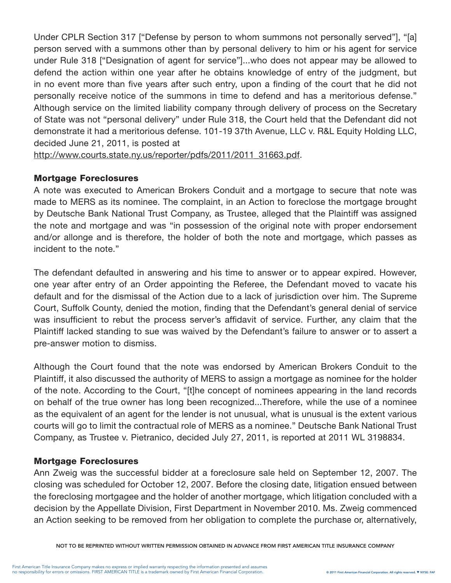Under CPLR Section 317 ["Defense by person to whom summons not personally served"], "[a] person served with a summons other than by personal delivery to him or his agent for service under Rule 318 ["Designation of agent for service"]...who does not appear may be allowed to defend the action within one year after he obtains knowledge of entry of the judgment, but in no event more than five years after such entry, upon a finding of the court that he did not personally receive notice of the summons in time to defend and has a meritorious defense." Although service on the limited liability company through delivery of process on the Secretary of State was not "personal delivery" under Rule 318, the Court held that the Defendant did not demonstrate it had a meritorious defense. 101-19 37th Avenue, LLC v. R&L Equity Holding LLC, decided June 21, 2011, is posted at

http://www.courts.state.ny.us/reporter/pdfs/2011/2011\_31663.pdf.

## Mortgage Foreclosures

A note was executed to American Brokers Conduit and a mortgage to secure that note was made to MERS as its nominee. The complaint, in an Action to foreclose the mortgage brought by Deutsche Bank National Trust Company, as Trustee, alleged that the Plaintiff was assigned the note and mortgage and was "in possession of the original note with proper endorsement and/or allonge and is therefore, the holder of both the note and mortgage, which passes as incident to the note."

The defendant defaulted in answering and his time to answer or to appear expired. However, one year after entry of an Order appointing the Referee, the Defendant moved to vacate his default and for the dismissal of the Action due to a lack of jurisdiction over him. The Supreme Court, Suffolk County, denied the motion, finding that the Defendant's general denial of service was insufficient to rebut the process server's affidavit of service. Further, any claim that the Plaintiff lacked standing to sue was waived by the Defendant's failure to answer or to assert a pre-answer motion to dismiss.

Although the Court found that the note was endorsed by American Brokers Conduit to the Plaintiff, it also discussed the authority of MERS to assign a mortgage as nominee for the holder of the note. According to the Court, "[t]he concept of nominees appearing in the land records on behalf of the true owner has long been recognized...Therefore, while the use of a nominee as the equivalent of an agent for the lender is not unusual, what is unusual is the extent various courts will go to limit the contractual role of MERS as a nominee." Deutsche Bank National Trust Company, as Trustee v. Pietranico, decided July 27, 2011, is reported at 2011 WL 3198834.

#### Mortgage Foreclosures

Ann Zweig was the successful bidder at a foreclosure sale held on September 12, 2007. The closing was scheduled for October 12, 2007. Before the closing date, litigation ensued between the foreclosing mortgagee and the holder of another mortgage, which litigation concluded with a decision by the Appellate Division, First Department in November 2010. Ms. Zweig commenced an Action seeking to be removed from her obligation to complete the purchase or, alternatively,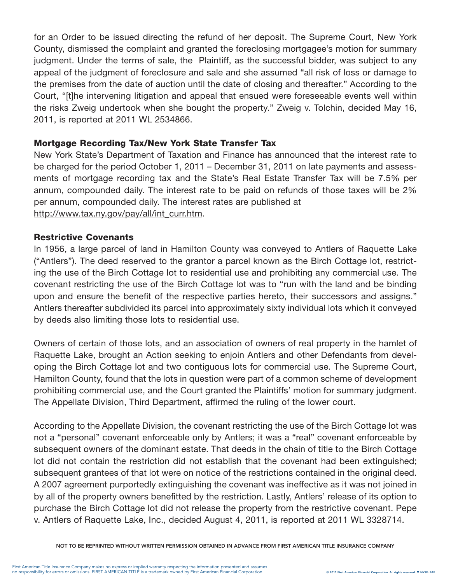for an Order to be issued directing the refund of her deposit. The Supreme Court, New York County, dismissed the complaint and granted the foreclosing mortgagee's motion for summary judgment. Under the terms of sale, the Plaintiff, as the successful bidder, was subject to any appeal of the judgment of foreclosure and sale and she assumed "all risk of loss or damage to the premises from the date of auction until the date of closing and thereafter." According to the Court, "[t]he intervening litigation and appeal that ensued were foreseeable events well within the risks Zweig undertook when she bought the property." Zweig v. Tolchin, decided May 16, 2011, is reported at 2011 WL 2534866.

## Mortgage Recording Tax/New York State Transfer Tax

New York State's Department of Taxation and Finance has announced that the interest rate to be charged for the period October 1, 2011 – December 31, 2011 on late payments and assessments of mortgage recording tax and the State's Real Estate Transfer Tax will be 7.5% per annum, compounded daily. The interest rate to be paid on refunds of those taxes will be 2% per annum, compounded daily. The interest rates are published at http://www.tax.ny.gov/pay/all/int\_curr.htm.

## Restrictive Covenants

In 1956, a large parcel of land in Hamilton County was conveyed to Antlers of Raquette Lake ("Antlers"). The deed reserved to the grantor a parcel known as the Birch Cottage lot, restricting the use of the Birch Cottage lot to residential use and prohibiting any commercial use. The covenant restricting the use of the Birch Cottage lot was to "run with the land and be binding upon and ensure the benefit of the respective parties hereto, their successors and assigns." Antlers thereafter subdivided its parcel into approximately sixty individual lots which it conveyed by deeds also limiting those lots to residential use.

Owners of certain of those lots, and an association of owners of real property in the hamlet of Raquette Lake, brought an Action seeking to enjoin Antlers and other Defendants from developing the Birch Cottage lot and two contiguous lots for commercial use. The Supreme Court, Hamilton County, found that the lots in question were part of a common scheme of development prohibiting commercial use, and the Court granted the Plaintiffs' motion for summary judgment. The Appellate Division, Third Department, affirmed the ruling of the lower court.

According to the Appellate Division, the covenant restricting the use of the Birch Cottage lot was not a "personal" covenant enforceable only by Antlers; it was a "real" covenant enforceable by subsequent owners of the dominant estate. That deeds in the chain of title to the Birch Cottage lot did not contain the restriction did not establish that the covenant had been extinguished; subsequent grantees of that lot were on notice of the restrictions contained in the original deed. A 2007 agreement purportedly extinguishing the covenant was ineffective as it was not joined in by all of the property owners benefitted by the restriction. Lastly, Antlers' release of its option to purchase the Birch Cottage lot did not release the property from the restrictive covenant. Pepe v. Antlers of Raquette Lake, Inc., decided August 4, 2011, is reported at 2011 WL 3328714.